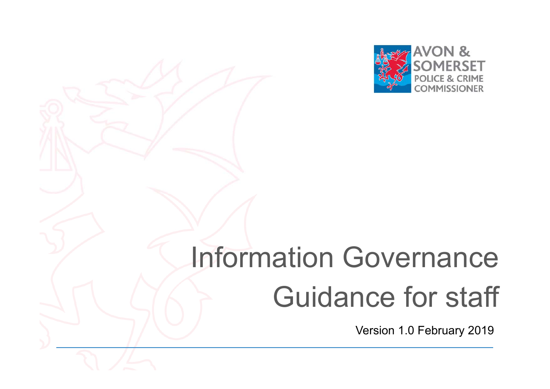

# Information Governance Guidance for staff

Version 1.0 February 2019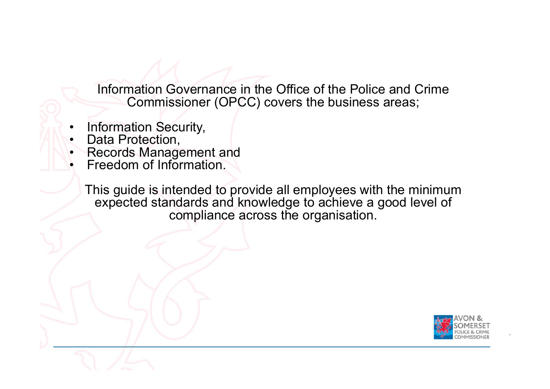Information Governance in the Office of the Police and Crime Commissioner (OPCC) covers the business areas;

- •Information Security,
- •Data Protection,
- •Records Management and
- •Freedom of Information.

This guide is intended to provide all employees with the minimum expected standards and knowledge to achieve a good level of compliance across the organisation.

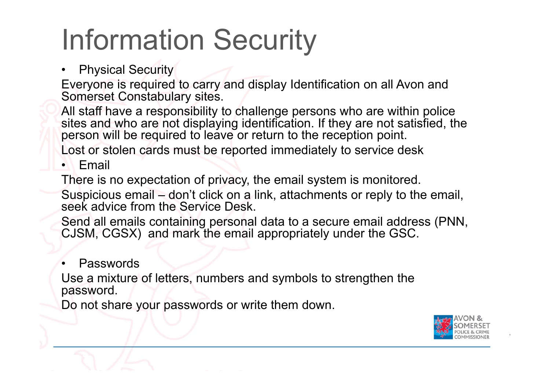# Information Security

### $\bullet$ Physical Security

Everyone is required to carry and display Identification on all Avon and Somerset Constabulary sites.

All staff have a responsibility to challenge persons who are within police sites and who are not displaying identification. If they are not satisfied, the person will be required to leave or return to the reception point.

Lost or stolen cards must be reported immediately to service desk

### •Email

There is no expectation of privacy, the email system is monitored.

Suspicious email – don't click on a link, attachments or reply to the email, seek advice from the Service Desk.

Send all emails containing personal data to a secure email address (PNN, CJSM, CGSX) and mark the email appropriately under the GSC.

#### •Passwords

Use a mixture of letters, numbers and symbols to strengthen the password.

Do not share your passwords or write them down.

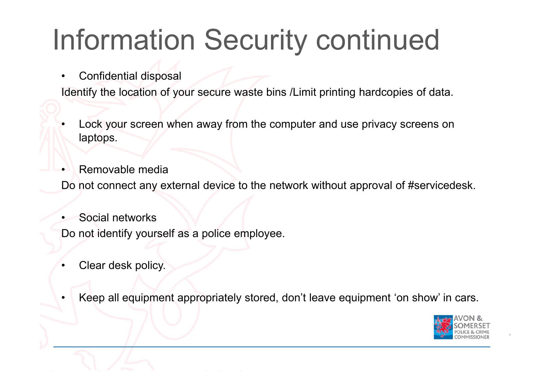# Information Security continued

•Confidential disposal

Identify the location of your secure waste bins /Limit printing hardcopies of data.

- • Lock your screen when away from the computer and use privacy screens on laptops.
- •Removable media

Do not connect any external device to the network without approval of #servicedesk.

•Social networks

Do not identify yourself as a police employee.

•Clear desk policy.

•

Keep all equipment appropriately stored, don't leave equipment 'on show' in cars.

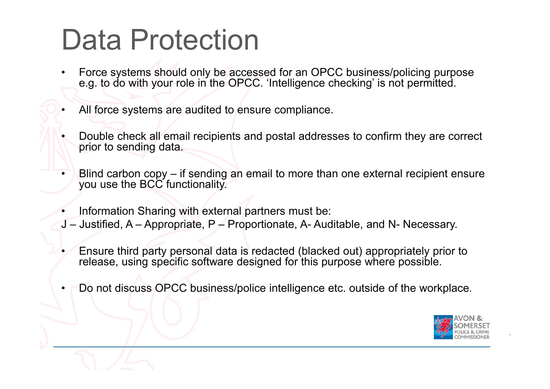# Data Protection

- • Force systems should only be accessed for an OPCC business/policing purpose e.g. to do with your role in the OPCC. 'Intelligence checking' is not permitted.
- •All force systems are audited to ensure compliance.
- • Double check all email recipients and postal addresses to confirm they are correct prior to sending data.
- • Blind carbon copy – if sending an email to more than one external recipient ensure you use the BCC functionality.
- •Information Sharing with external partners must be:
- J Justified, A Appropriate, P Proportionate, A- Auditable, and N- Necessary.
- • Ensure third party personal data is redacted (blacked out) appropriately prior to release, using specific software designed for this purpose where possible.
- •Do not discuss OPCC business/police intelligence etc. outside of the workplace.

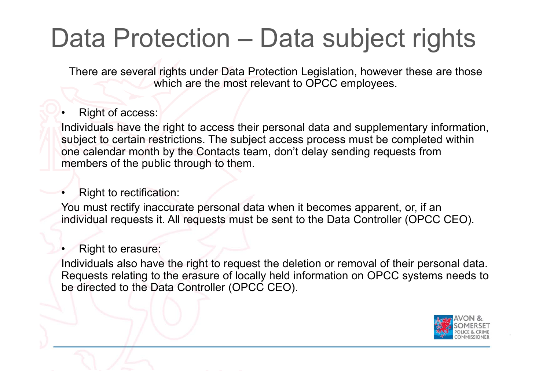## Data Protection – Data subject rights

There are several rights under Data Protection Legislation, however these are those which are the most relevant to OPCC employees.

#### •Right of access:

Individuals have the right to access their personal data and supplementary information, subject to certain restrictions. The subject access process must be completed within one calendar month by the Contacts team, don't delay sending requests from members of the public through to them.

#### •Right to rectification:

You must rectify inaccurate personal data when it becomes apparent, or, if an individual requests it. All requests must be sent to the Data Controller (OPCC CEO).

#### •Right to erasure:

Individuals also have the right to request the deletion or removal of their personal data. Requests relating to the erasure of locally held information on OPCC systems needs to be directed to the Data Controller (OPCC CEO).

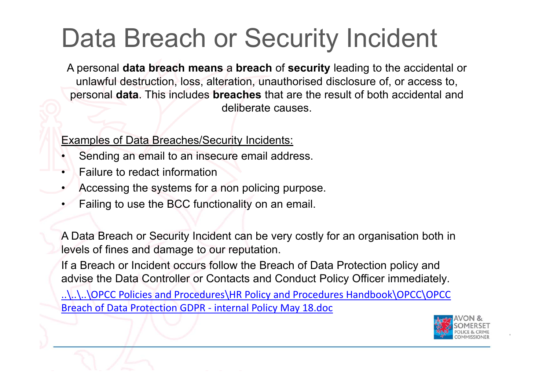## Data Breach or Security Incident

A personal **data breach means** <sup>a</sup>**breach** of **security** leading to the accidental or unlawful destruction, loss, alteration, unauthorised disclosure of, or access to, personal **data**. This includes **breaches** that are the result of both accidental and deliberate causes.

## Examples of Data Breaches/Security Incidents:

- •Sending an email to an insecure email address.
- •Failure to redact information
- •Accessing the systems for a non policing purpose.
- •Failing to use the BCC functionality on an email.

A Data Breach or Security Incident can be very costly for an organisation both in levels of fines and damage to our reputation.

If a Breach or Incident occurs follow the Breach of Data Protection policy and advise the Data Controller or Contacts and Conduct Policy Officer immediately.

..\..\..\OPCC Policies and Procedures\HR Policy and Procedures Handbook\OPCC\OPCC Breach of Data Protection GDPR ‐ internal Policy May 18.doc

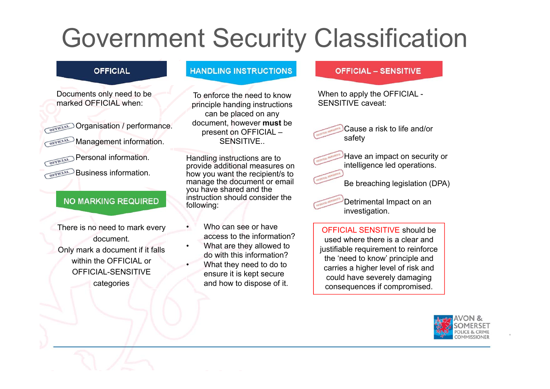## Government Security Classification

### **OFFICIAL**

Documents only need to be marked OFFICIAL when:

**Organisation / performance.** 

OFFICIAL Management information.

Personal information.

Business information.

## **NO MARKING REQUIRED**

There is no need to mark every document. Only mark a document if it falls within the OFFICIAL or OFFICIAL-SENSITIVE

categories

## **HANDLING INSTRUCTIONS**

To enforce the need to know principle handing instructions can be placed on any document, however **must** be present on OFFICIAL – SENSITIVE..

Handling instructions are to provide additional measures on how you want the recipient/s to manage the document or email you have shared and the instruction should consider the following:

 Who can see or have access to the information?

•

•

- • What are they allowed to do with this information?
	- What they need to do to ensure it is kept secure and how to dispose of it.

### **OFFICIAL - SENSITIVE**

When to apply the OFFICIAL - SENSITIVE caveat:

> Cause a risk to life and/or safety

Have an impact on security or intelligence led operations.

Be breaching legislation (DPA)

Detrimental Impact on an investigation.

OFFICIAL SENSITIVE should be used where there is a clear and justifiable requirement to reinforce the 'need to know' principle and carries a higher level of risk and could have severely damaging consequences if compromised.

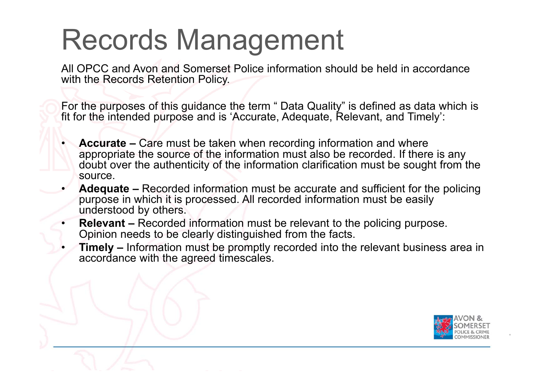# Records Management

All OPCC and Avon and Somerset Police information should be held in accordance with the Records Retention Policy.

For the purposes of this guidance the term " Data Quality" is defined as data which is fit for the intended purpose and is 'Accurate, Adequate, Relevant, and Timely':

- • **Accurate –** Care must be taken when recording information and where appropriate the source of the information must also be recorded. If there is any doubt over the authenticity of the information clarification must be sought from the source.
- • **Adequate –** Recorded information must be accurate and sufficient for the policing purpose in which it is processed. All recorded information must be easily understood by others.
- • **Relevant –** Recorded information must be relevant to the policing purpose. Opinion needs to be clearly distinguished from the facts.
- • **Timely –** Information must be promptly recorded into the relevant business area in accordance with the agreed timescales.

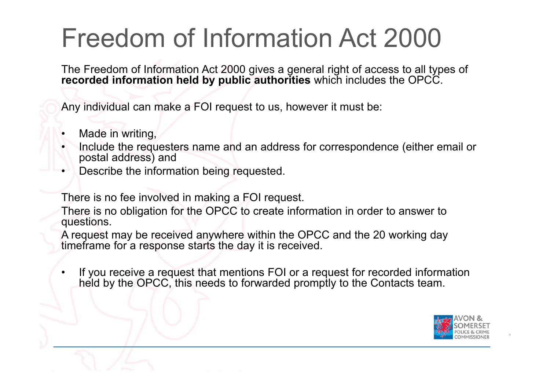## Freedom of Information Act 2000

The Freedom of Information Act 2000 gives a general right of access to all types of **recorded information held by public authorities** which includes the OPCC.

Any individual can make a FOI request to us, however it must be:

- •Made in writing,
- • Include the requesters name and an address for correspondence (either email or postal address) and
- •Describe the information being requested.

There is no fee involved in making a FOI request.

There is no obligation for the OPCC to create information in order to answer to questions.

A request may be received anywhere within the OPCC and the 20 working day timeframe for a response starts the day it is received.

• If you receive a request that mentions FOI or a request for recorded information held by the OPCC, this needs to forwarded promptly to the Contacts team.